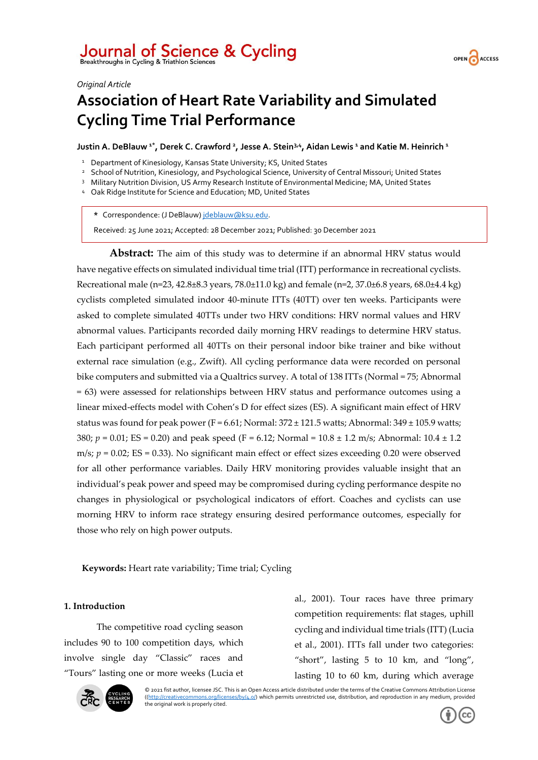# Journal of Science & Cycling<br>Breakthroughs in Cycling & Triathlon Sciences



#### *Original Article*

## **Association of Heart Rate Variability and Simulated Cycling Time Trial Performance**

**Justin A. DeBlauw 1\* , Derek C. Crawford <sup>2</sup> , Jesse A. Stein3,4 , Aidan Lewis <sup>1</sup> and Katie M. Heinrich <sup>1</sup>**

<sup>1</sup> Department of Kinesiology, Kansas State University; KS, United States

<sup>2</sup> School of Nutrition, Kinesiology, and Psychological Science, University of Central Missouri; United States

<sup>3</sup> Military Nutrition Division, US Army Research Institute of Environmental Medicine; MA, United States

<sup>4</sup> Oak Ridge Institute for Science and Education; MD, United States

**\*** Correspondence: (J DeBlauw) [jdeblauw@ksu.edu.](mailto:jdeblauw@ksu.edu)

Received: 25 June 2021; Accepted: 28 December 2021; Published: 30 December 2021

**Abstract:** The aim of this study was to determine if an abnormal HRV status would have negative effects on simulated individual time trial (ITT) performance in recreational cyclists. Recreational male (n=23, 42.8±8.3 years, 78.0±11.0 kg) and female (n=2, 37.0±6.8 years, 68.0±4.4 kg) cyclists completed simulated indoor 40-minute ITTs (40TT) over ten weeks. Participants were asked to complete simulated 40TTs under two HRV conditions: HRV normal values and HRV abnormal values. Participants recorded daily morning HRV readings to determine HRV status. Each participant performed all 40TTs on their personal indoor bike trainer and bike without external race simulation (e.g., Zwift). All cycling performance data were recorded on personal bike computers and submitted via a Qualtrics survey. A total of 138 ITTs (Normal = 75; Abnormal = 63) were assessed for relationships between HRV status and performance outcomes using a linear mixed-effects model with Cohen's D for effect sizes (ES). A significant main effect of HRV status was found for peak power (F = 6.61; Normal:  $372 \pm 121.5$  watts; Abnormal:  $349 \pm 105.9$  watts; 380;  $p = 0.01$ ; ES = 0.20) and peak speed (F = 6.12; Normal = 10.8 ± 1.2 m/s; Abnormal: 10.4 ± 1.2 m/s;  $p = 0.02$ ; ES = 0.33). No significant main effect or effect sizes exceeding 0.20 were observed for all other performance variables. Daily HRV monitoring provides valuable insight that an individual's peak power and speed may be compromised during cycling performance despite no changes in physiological or psychological indicators of effort. Coaches and cyclists can use morning HRV to inform race strategy ensuring desired performance outcomes, especially for those who rely on high power outputs.

**Keywords:** Heart rate variability; Time trial; Cycling

### **1. Introduction**

The competitive road cycling season includes 90 to 100 competition days, which involve single day "Classic" races and "Tours" lasting one or more weeks (Lucia et al., 2001). Tour races have three primary competition requirements: flat stages, uphill cycling and individual time trials (ITT) (Lucia et al., 2001). ITTs fall under two categories: "short", lasting 5 to 10 km, and "long", lasting 10 to 60 km, during which average



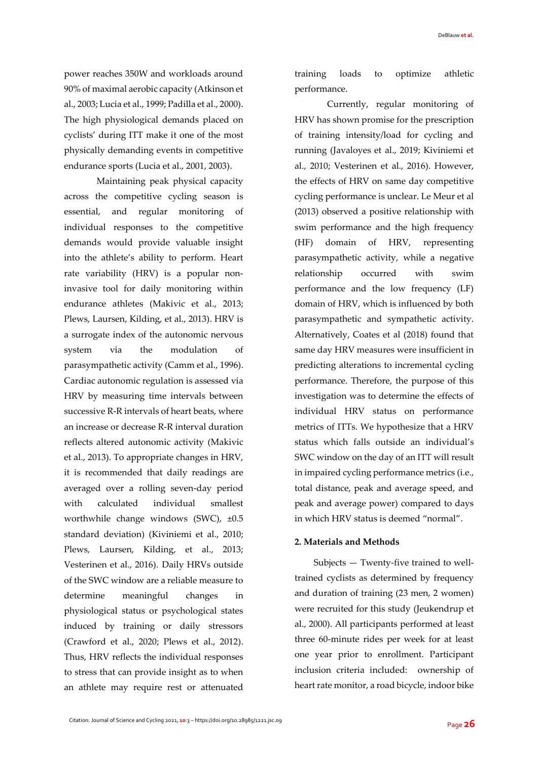power reaches 350W and workloads around 90% of maximal aerobic capacity (Atkinson et al., 2003; Lucia et al., 1999; Padilla et al., 2000). The high physiological demands placed on cyclists' during ITT make it one of the most physically demanding events in competitive endurance sports (Lucia et al., 2001, 2003).

Maintaining peak physical capacity across the competitive cycling season is essential, and regular monitoring of individual responses to the competitive demands would provide valuable insight into the athlete's ability to perform. Heart rate variability (HRV) is a popular noninvasive tool for daily monitoring within endurance athletes (Makivic et al., 2013; Plews, Laursen, Kilding, et al., 2013). HRV is a surrogate index of the autonomic nervous system via the modulation of parasympathetic activity (Camm et al., 1996). Cardiac autonomic regulation is assessed via HRV by measuring time intervals between successive R-R intervals of heart beats, where an increase or decrease R-R interval duration reflects altered autonomic activity (Makivic et al., 2013). To appropriate changes in HRV, it is recommended that daily readings are averaged over a rolling seven-day period with calculated individual smallest worthwhile change windows (SWC), ±0.5 standard deviation) (Kiviniemi et al., 2010; Plews, Laursen, Kilding, et al., 2013; Vesterinen et al., 2016). Daily HRVs outside of the SWC window are a reliable measure to determine meaningful changes in physiological status or psychological states induced by training or daily stressors (Crawford et al., 2020; Plews et al., 2012). Thus, HRV reflects the individual responses to stress that can provide insight as to when an athlete may require rest or attenuated training loads to optimize athletic performance.

Currently, regular monitoring of HRV has shown promise for the prescription of training intensity/load for cycling and running (Javaloyes et al., 2019; Kiviniemi et al., 2010; Vesterinen et al., 2016). However, the effects of HRV on same day competitive cycling performance is unclear. Le Meur et al (2013) observed a positive relationship with swim performance and the high frequency (HF) domain of HRV, representing parasympathetic activity, while a negative relationship occurred with swim performance and the low frequency (LF) domain of HRV, which is influenced by both parasympathetic and sympathetic activity. Alternatively, Coates et al (2018) found that same day HRV measures were insufficient in predicting alterations to incremental cycling performance. Therefore, the purpose of this investigation was to determine the effects of individual HRV status on performance metrics of ITTs. We hypothesize that a HRV status which falls outside an individual's SWC window on the day of an ITT will result in impaired cycling performance metrics (i.e., total distance, peak and average speed, and peak and average power) compared to days in which HRV status is deemed "normal".

#### **2. Materials and Methods**

Subjects — Twenty-five trained to welltrained cyclists as determined by frequency and duration of training (23 men, 2 women) were recruited for this study (Jeukendrup et al., 2000). All participants performed at least three 60-minute rides per week for at least one year prior to enrollment. Participant inclusion criteria included: ownership of heart rate monitor, a road bicycle, indoor bike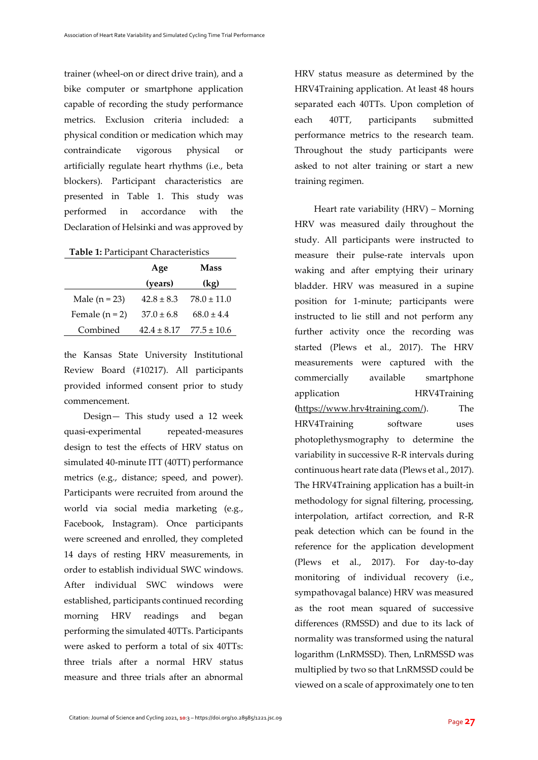trainer (wheel-on or direct drive train), and a bike computer or smartphone application capable of recording the study performance metrics. Exclusion criteria included: a physical condition or medication which may contraindicate vigorous physical or artificially regulate heart rhythms (i.e., beta blockers). Participant characteristics are presented in Table 1. This study was performed in accordance with the Declaration of Helsinki and was approved by

|                  | Age            | Mass            |
|------------------|----------------|-----------------|
|                  | (years)        | (kg)            |
| Male $(n = 23)$  | $42.8 \pm 8.3$ | $78.0 \pm 11.0$ |
| Female $(n = 2)$ | $37.0 \pm 6.8$ | $68.0 + 4.4$    |
| Combined         | $42.4 + 8.17$  | $77.5 \pm 10.6$ |

the Kansas State University Institutional Review Board (#10217). All participants provided informed consent prior to study commencement.

Design— This study used a 12 week quasi-experimental repeated-measures design to test the effects of HRV status on simulated 40-minute ITT (40TT) performance metrics (e.g., distance; speed, and power). Participants were recruited from around the world via social media marketing (e.g., Facebook, Instagram). Once participants were screened and enrolled, they completed 14 days of resting HRV measurements, in order to establish individual SWC windows. After individual SWC windows were established, participants continued recording morning HRV readings and began performing the simulated 40TTs. Participants were asked to perform a total of six 40TTs: three trials after a normal HRV status measure and three trials after an abnormal

HRV status measure as determined by the HRV4Training application. At least 48 hours separated each 40TTs. Upon completion of each 40TT, participants submitted performance metrics to the research team. Throughout the study participants were asked to not alter training or start a new training regimen.

Heart rate variability (HRV) – Morning HRV was measured daily throughout the study. All participants were instructed to measure their pulse-rate intervals upon waking and after emptying their urinary bladder. HRV was measured in a supine position for 1-minute; participants were instructed to lie still and not perform any further activity once the recording was started (Plews et al., 2017). The HRV measurements were captured with the commercially available smartphone application HRV4Training **(**https://www.hrv4training.com/). The HRV4Training software uses photoplethysmography to determine the variability in successive R-R intervals during continuous heart rate data (Plews et al., 2017). The HRV4Training application has a built-in methodology for signal filtering, processing, interpolation, artifact correction, and R-R peak detection which can be found in the reference for the application development (Plews et al., 2017). For day-to-day monitoring of individual recovery (i.e., sympathovagal balance) HRV was measured as the root mean squared of successive differences (RMSSD) and due to its lack of normality was transformed using the natural logarithm (LnRMSSD). Then, LnRMSSD was multiplied by two so that LnRMSSD could be viewed on a scale of approximately one to ten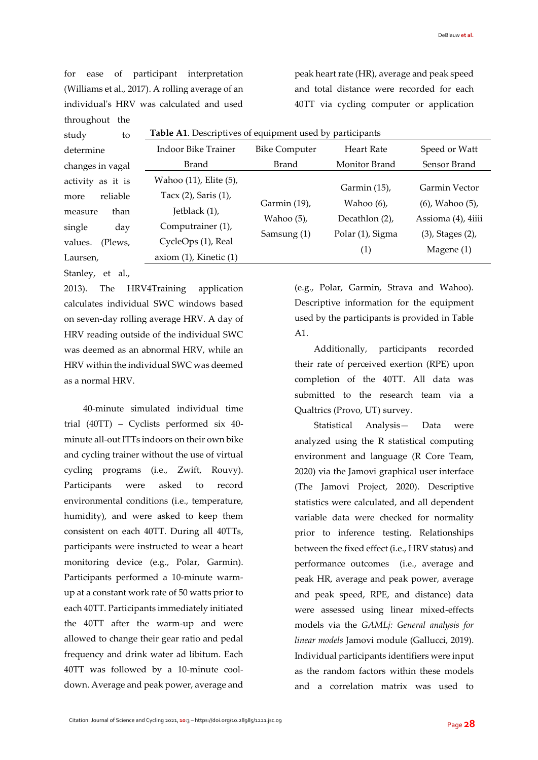for ease of participant interpretation (Williams et al., 2017). A rolling average of an individual's HRV was calculated and used throughout the

peak heart rate (HR), average and peak speed and total distance were recorded for each 40TT via cycling computer or application

| study<br>to                                                                                                 | Table A1. Descriptives of equipment used by participants                                                                                        |                                              |                                                                            |                                                                                                        |
|-------------------------------------------------------------------------------------------------------------|-------------------------------------------------------------------------------------------------------------------------------------------------|----------------------------------------------|----------------------------------------------------------------------------|--------------------------------------------------------------------------------------------------------|
| determine                                                                                                   | Indoor Bike Trainer                                                                                                                             | <b>Bike Computer</b>                         | Heart Rate                                                                 | Speed or Watt                                                                                          |
| changes in vagal                                                                                            | Brand                                                                                                                                           | Brand                                        | Monitor Brand                                                              | Sensor Brand                                                                                           |
| activity as it is<br>reliable<br>more<br>than<br>measure<br>single<br>day<br>values.<br>(Plews,<br>Laursen, | Wahoo (11), Elite (5),<br>Tacx $(2)$ , Saris $(1)$ ,<br>Jetblack (1),<br>Computrainer (1),<br>CycleOps (1), Real<br>axiom $(1)$ , Kinetic $(1)$ | Garmin (19),<br>Wahoo $(5)$ ,<br>Samsung (1) | Garmin (15),<br>Wahoo $(6)$ ,<br>Decathlon (2),<br>Polar (1), Sigma<br>(1) | Garmin Vector<br>$(6)$ , Wahoo $(5)$ ,<br>Assioma (4), 4iiii<br>$(3)$ , Stages $(2)$ ,<br>Magene $(1)$ |

Stanley, et al.,

2013). The HRV4Training application calculates individual SWC windows based on seven-day rolling average HRV. A day of HRV reading outside of the individual SWC was deemed as an abnormal HRV, while an HRV within the individual SWC was deemed as a normal HRV.

40-minute simulated individual time trial (40TT) – Cyclists performed six 40 minute all-out ITTs indoors on their own bike and cycling trainer without the use of virtual cycling programs (i.e., Zwift, Rouvy). Participants were asked to record environmental conditions (i.e., temperature, humidity), and were asked to keep them consistent on each 40TT. During all 40TTs, participants were instructed to wear a heart monitoring device (e.g., Polar, Garmin). Participants performed a 10-minute warmup at a constant work rate of 50 watts prior to each 40TT. Participants immediately initiated the 40TT after the warm-up and were allowed to change their gear ratio and pedal frequency and drink water ad libitum. Each 40TT was followed by a 10-minute cooldown. Average and peak power, average and (e.g., Polar, Garmin, Strava and Wahoo). Descriptive information for the equipment used by the participants is provided in Table A1.

Additionally, participants recorded their rate of perceived exertion (RPE) upon completion of the 40TT. All data was submitted to the research team via a Qualtrics (Provo, UT) survey.

Statistical Analysis— Data were analyzed using the R statistical computing environment and language (R Core Team, 2020) via the Jamovi graphical user interface (The Jamovi Project, 2020). Descriptive statistics were calculated, and all dependent variable data were checked for normality prior to inference testing. Relationships between the fixed effect (i.e., HRV status) and performance outcomes (i.e., average and peak HR, average and peak power, average and peak speed, RPE, and distance) data were assessed using linear mixed-effects models via the *GAMLj: General analysis for linear models* Jamovi module (Gallucci, 2019). Individual participants identifiers were input as the random factors within these models and a correlation matrix was used to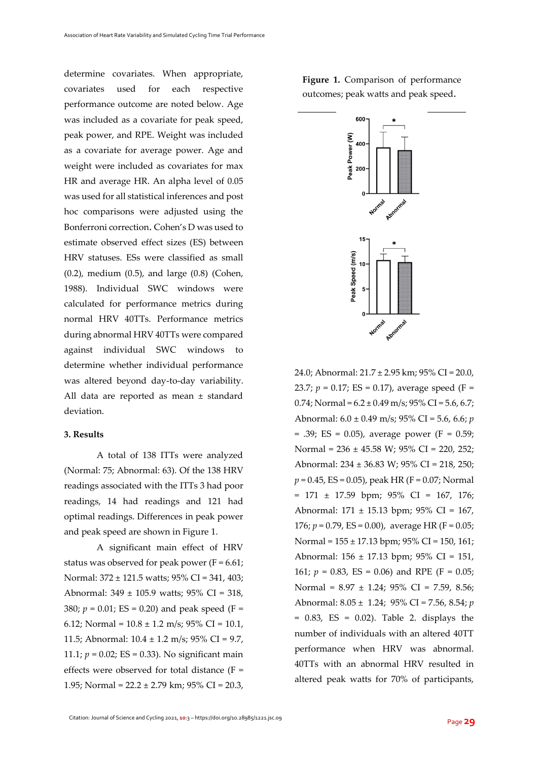determine covariates. When appropriate, covariates used for each respective performance outcome are noted below. Age was included as a covariate for peak speed, peak power, and RPE. Weight was included as a covariate for average power. Age and weight were included as covariates for max HR and average HR. An alpha level of 0.05 was used for all statistical inferences and post hoc comparisons were adjusted using the Bonferroni correction. Cohen's D was used to estimate observed effect sizes (ES) between HRV statuses. ESs were classified as small (0.2), medium (0.5), and large (0.8) (Cohen, 1988). Individual SWC windows were calculated for performance metrics during normal HRV 40TTs. Performance metrics during abnormal HRV 40TTs were compared against individual SWC windows to determine whether individual performance was altered beyond day-to-day variability. All data are reported as mean ± standard deviation.

#### **3. Results**

A total of 138 ITTs were analyzed (Normal: 75; Abnormal: 63). Of the 138 HRV readings associated with the ITTs 3 had poor readings, 14 had readings and 121 had optimal readings. Differences in peak power and peak speed are shown in Figure 1.

A significant main effect of HRV status was observed for peak power ( $F = 6.61$ ; Normal: 372 ± 121.5 watts; 95% CI = 341, 403; Abnormal: 349 ± 105.9 watts; 95% CI = 318, 380;  $p = 0.01$ ; ES = 0.20) and peak speed (F = 6.12; Normal =  $10.8 \pm 1.2$  m/s; 95% CI = 10.1, 11.5; Abnormal: 10.4 ± 1.2 m/s; 95% CI = 9.7, 11.1;  $p = 0.02$ ; ES = 0.33). No significant main effects were observed for total distance (F = 1.95; Normal =  $22.2 \pm 2.79$  km; 95% CI = 20.3, Figure 1. Comparison of performance outcomes; peak watts and peak speed.



24.0; Abnormal: 21.7 ± 2.95 km; 95% CI = 20.0, 23.7;  $p = 0.17$ ; ES = 0.17), average speed (F =  $0.74$ ; Normal =  $6.2 \pm 0.49$  m/s;  $95\%$  CI =  $5.6$ ,  $6.7$ ; Abnormal: 6.0 ± 0.49 m/s; 95% CI = 5.6, 6.6; *p*  $= .39$ ; ES = 0.05), average power (F = 0.59; Normal = 236 ± 45.58 W; 95% CI = 220, 252; Abnormal: 234 ± 36.83 W; 95% CI = 218, 250;  $p = 0.45$ , ES = 0.05), peak HR (F = 0.07; Normal = 171 ± 17.59 bpm; 95% CI = 167, 176; Abnormal: 171 ± 15.13 bpm; 95% CI = 167, 176; *p* = 0.79, ES = 0.00), average HR (F = 0.05; Normal = 155 ± 17.13 bpm; 95% CI = 150, 161; Abnormal: 156 ± 17.13 bpm; 95% CI = 151, 161;  $p = 0.83$ , ES = 0.06) and RPE (F = 0.05; Normal = 8.97 ± 1.24; 95% CI = 7.59, 8.56; Abnormal: 8.05 ± 1.24; 95% CI = 7.56, 8.54; *p*  $= 0.83$ , ES  $= 0.02$ ). Table 2. displays the number of individuals with an altered 40TT performance when HRV was abnormal. 40TTs with an abnormal HRV resulted in altered peak watts for 70% of participants,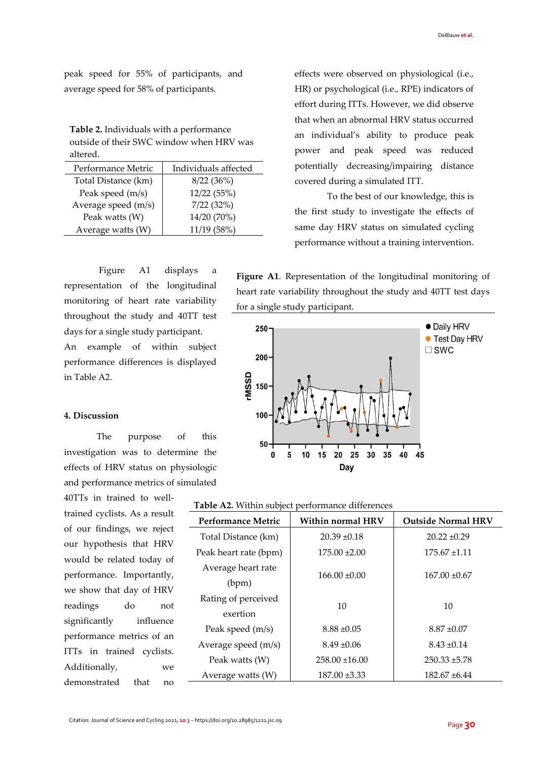peak speed for 55% of participants, and average speed for 58% of participants.

**Table 2.** Individuals with a performance outside of their SWC window when HRV was altered.

| Performance Metric  | Individuals affected |  |
|---------------------|----------------------|--|
| Total Distance (km) | 8/22(36%)            |  |
| Peak speed (m/s)    | 12/22 (55%)          |  |
| Average speed (m/s) | 7/22(32%)            |  |
| Peak watts (W)      | 14/20 (70%)          |  |
| Average watts (W)   | 11/19 (58%)          |  |

Figure A1 displays a representation of the longitudinal monitoring of heart rate variability throughout the study and 40TT test days for a single study participant. An example of within subject

performance differences is displayed in Table A2.

#### **4. Discussion**

The purpose of this investigation was to determine the effects of HRV status on physiologic and performance metrics of simulated

40TTs in trained to welltrained cyclists. As a result of our findings, we reject our hypothesis that HRV would be related today of performance. Importantly, we show that day of HRV readings do not significantly influence performance metrics of an ITTs in trained cyclists. Additionally, we demonstrated that no

effects were observed on physiological (i.e., HR) or psychological (i.e., RPE) indicators of effort during ITTs. However, we did observe that when an abnormal HRV status occurred an individual's ability to produce peak power and peak speed was reduced potentially decreasing/impairing distance covered during a simulated ITT.

To the best of our knowledge, this is the first study to investigate the effects of same day HRV status on simulated cycling performance without a training intervention.

**Figure A1**. Representation of the longitudinal monitoring of heart rate variability throughout the study and 40TT test days for a single study participant.



| Table A2. Within subject performance differences |  |  |
|--------------------------------------------------|--|--|
|--------------------------------------------------|--|--|

| <b>Performance Metric</b>       | <b>Within normal HRV</b> | <b>Outside Normal HRV</b> |
|---------------------------------|--------------------------|---------------------------|
| Total Distance (km)             | $20.39 \pm 0.18$         | $20.22 \pm 0.29$          |
| Peak heart rate (bpm)           | $175.00 \pm 2.00$        | $175.67 \pm 1.11$         |
| Average heart rate<br>(bpm)     | $166.00 \pm 0.00$        | $167.00 \pm 0.67$         |
| Rating of perceived<br>exertion | 10                       | 10                        |
| Peak speed (m/s)                | $8.88 \pm 0.05$          | $8.87 \pm 0.07$           |
| Average speed (m/s)             | $8.49 \pm 0.06$          | $8.43 \pm 0.14$           |
| Peak watts (W)                  | $258.00 \pm 16.00$       | $250.33 \pm 5.78$         |
| Average watts (W)               | $187.00 \pm 3.33$        | $182.67 \pm 6.44$         |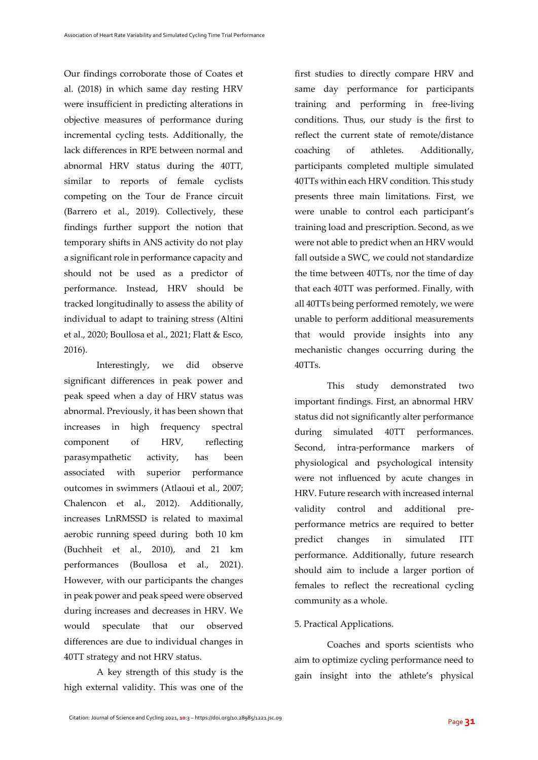Our findings corroborate those of Coates et al. (2018) in which same day resting HRV were insufficient in predicting alterations in objective measures of performance during incremental cycling tests. Additionally, the lack differences in RPE between normal and abnormal HRV status during the 40TT, similar to reports of female cyclists competing on the Tour de France circuit (Barrero et al., 2019). Collectively, these findings further support the notion that temporary shifts in ANS activity do not play a significant role in performance capacity and should not be used as a predictor of performance. Instead, HRV should be tracked longitudinally to assess the ability of individual to adapt to training stress (Altini et al., 2020; Boullosa et al., 2021; Flatt & Esco, 2016).

Interestingly, we did observe significant differences in peak power and peak speed when a day of HRV status was abnormal. Previously, it has been shown that increases in high frequency spectral component of HRV, reflecting parasympathetic activity, has been associated with superior performance outcomes in swimmers (Atlaoui et al., 2007; Chalencon et al., 2012). Additionally, increases LnRMSSD is related to maximal aerobic running speed during both 10 km (Buchheit et al., 2010), and 21 km performances (Boullosa et al., 2021). However, with our participants the changes in peak power and peak speed were observed during increases and decreases in HRV. We would speculate that our observed differences are due to individual changes in 40TT strategy and not HRV status.

A key strength of this study is the high external validity. This was one of the first studies to directly compare HRV and same day performance for participants training and performing in free-living conditions. Thus, our study is the first to reflect the current state of remote/distance coaching of athletes. Additionally, participants completed multiple simulated 40TTs within each HRV condition. This study presents three main limitations. First, we were unable to control each participant's training load and prescription. Second, as we were not able to predict when an HRV would fall outside a SWC, we could not standardize the time between 40TTs, nor the time of day that each 40TT was performed. Finally, with all 40TTs being performed remotely, we were unable to perform additional measurements that would provide insights into any mechanistic changes occurring during the 40TTs.

This study demonstrated two important findings. First, an abnormal HRV status did not significantly alter performance during simulated 40TT performances. Second, intra-performance markers of physiological and psychological intensity were not influenced by acute changes in HRV. Future research with increased internal validity control and additional preperformance metrics are required to better predict changes in simulated performance. Additionally, future research should aim to include a larger portion of females to reflect the recreational cycling community as a whole.

### 5. Practical Applications.

Coaches and sports scientists who aim to optimize cycling performance need to gain insight into the athlete's physical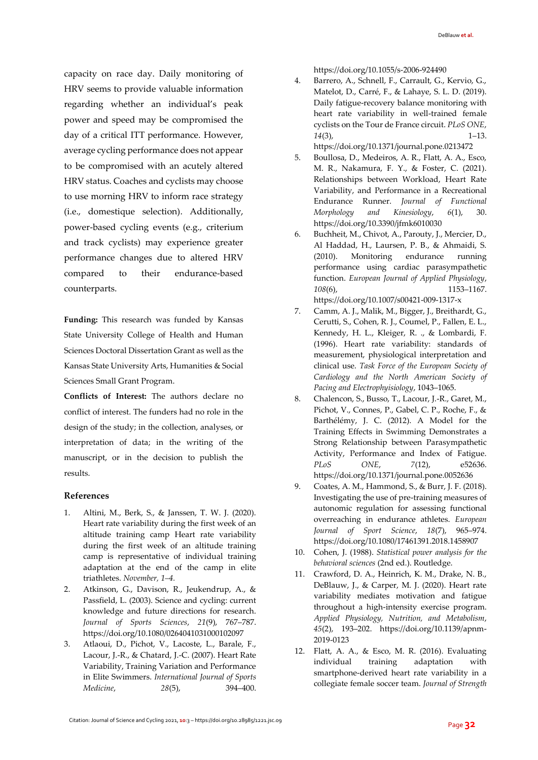capacity on race day. Daily monitoring of HRV seems to provide valuable information regarding whether an individual's peak power and speed may be compromised the day of a critical ITT performance. However, average cycling performance does not appear to be compromised with an acutely altered HRV status. Coaches and cyclists may choose to use morning HRV to inform race strategy (i.e., domestique selection). Additionally, power-based cycling events (e.g., criterium and track cyclists) may experience greater performance changes due to altered HRV compared to their endurance-based counterparts.

**Funding:** This research was funded by Kansas State University College of Health and Human Sciences Doctoral Dissertation Grant as well as the Kansas State University Arts, Humanities & Social Sciences Small Grant Program.

**Conflicts of Interest:** The authors declare no conflict of interest. The funders had no role in the design of the study; in the collection, analyses, or interpretation of data; in the writing of the manuscript, or in the decision to publish the results.

#### **References**

- 1. Altini, M., Berk, S., & Janssen, T. W. J. (2020). Heart rate variability during the first week of an altitude training camp Heart rate variability during the first week of an altitude training camp is representative of individual training adaptation at the end of the camp in elite triathletes. *November, 1–4.*
- 2. Atkinson, G., Davison, R., Jeukendrup, A., & Passfield, L. (2003). Science and cycling: current knowledge and future directions for research. *Journal of Sports Sciences*, *21*(9), 767–787. https://doi.org/10.1080/0264041031000102097
- 3. Atlaoui, D., Pichot, V., Lacoste, L., Barale, F., Lacour, J.-R., & Chatard, J.-C. (2007). Heart Rate Variability, Training Variation and Performance in Elite Swimmers. *International Journal of Sports Medicine*, *28*(5), 394–400.

https://doi.org/10.1055/s-2006-924490

4. Barrero, A., Schnell, F., Carrault, G., Kervio, G., Matelot, D., Carré, F., & Lahaye, S. L. D. (2019). Daily fatigue-recovery balance monitoring with heart rate variability in well-trained female cyclists on the Tour de France circuit. *PLoS ONE*, *14*(3), 1–13.

https://doi.org/10.1371/journal.pone.0213472

- 5. Boullosa, D., Medeiros, A. R., Flatt, A. A., Esco, M. R., Nakamura, F. Y., & Foster, C. (2021). Relationships between Workload, Heart Rate Variability, and Performance in a Recreational Endurance Runner. *Journal of Functional Morphology and Kinesiology*, *6*(1), 30. https://doi.org/10.3390/jfmk6010030
- 6. Buchheit, M., Chivot, A., Parouty, J., Mercier, D., Al Haddad, H., Laursen, P. B., & Ahmaidi, S. (2010). Monitoring endurance running performance using cardiac parasympathetic function. *European Journal of Applied Physiology*, *108*(6), 1153–1167. https://doi.org/10.1007/s00421-009-1317-x
- 7. Camm, A. J., Malik, M., Bigger, J., Breithardt, G., Cerutti, S., Cohen, R. J., Coumel, P., Fallen, E. L., Kennedy, H. L., Kleiger, R. ., & Lombardi, F. (1996). Heart rate variability: standards of measurement, physiological interpretation and clinical use. *Task Force of the European Society of Cardiology and the North American Society of Pacing and Electrophyisiology*, 1043–1065.
- 8. Chalencon, S., Busso, T., Lacour, J.-R., Garet, M., Pichot, V., Connes, P., Gabel, C. P., Roche, F., & Barthélémy, J. C. (2012). A Model for the Training Effects in Swimming Demonstrates a Strong Relationship between Parasympathetic Activity, Performance and Index of Fatigue. *PLoS ONE*, *7*(12), e52636. https://doi.org/10.1371/journal.pone.0052636
- 9. Coates, A. M., Hammond, S., & Burr, J. F. (2018). Investigating the use of pre-training measures of autonomic regulation for assessing functional overreaching in endurance athletes. *European Journal of Sport Science*, *18*(7), 965–974. https://doi.org/10.1080/17461391.2018.1458907
- 10. Cohen, J. (1988). *Statistical power analysis for the behavioral sciences* (2nd ed.). Routledge.
- 11. Crawford, D. A., Heinrich, K. M., Drake, N. B., DeBlauw, J., & Carper, M. J. (2020). Heart rate variability mediates motivation and fatigue throughout a high-intensity exercise program. *Applied Physiology, Nutrition, and Metabolism*, *45*(2), 193–202. https://doi.org/10.1139/apnm-2019-0123
- 12. Flatt, A. A., & Esco, M. R. (2016). Evaluating individual training adaptation with smartphone-derived heart rate variability in a collegiate female soccer team. *Journal of Strength*